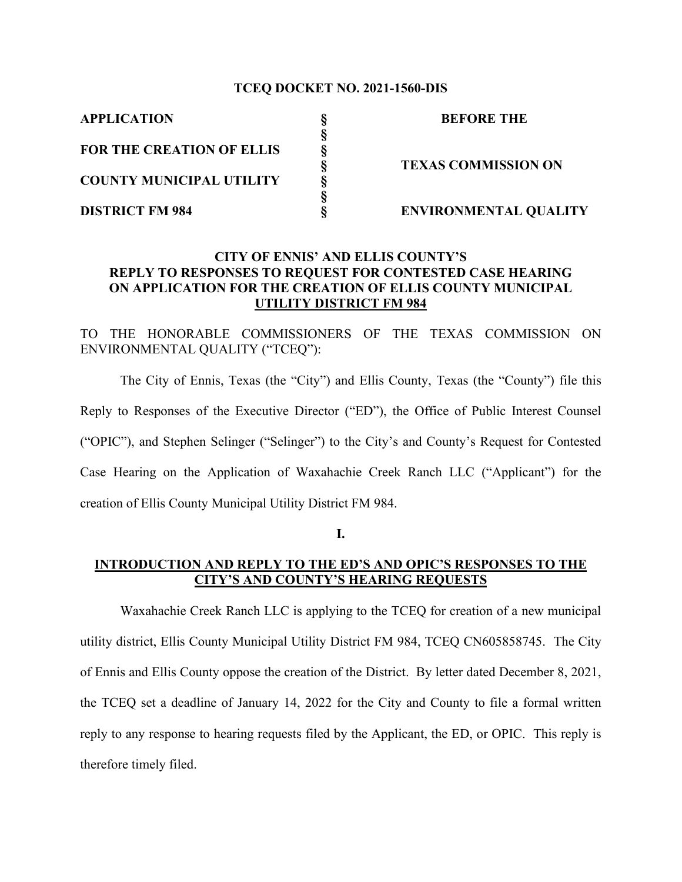#### **TCEQ DOCKET NO. 2021-1560-DIS**

**§**

**§**

**APPLICATION § BEFORE THE**

**FOR THE CREATION OF ELLIS COUNTY MUNICIPAL UTILITY §**

**§ TEXAS COMMISSION ON**

**DISTRICT FM 984 § ENVIRONMENTAL QUALITY**

## **CITY OF ENNIS' AND ELLIS COUNTY'S REPLY TO RESPONSES TO REQUEST FOR CONTESTED CASE HEARING ON APPLICATION FOR THE CREATION OF ELLIS COUNTY MUNICIPAL UTILITY DISTRICT FM 984**

TO THE HONORABLE COMMISSIONERS OF THE TEXAS COMMISSION ON ENVIRONMENTAL QUALITY ("TCEQ"):

The City of Ennis, Texas (the "City") and Ellis County, Texas (the "County") file this Reply to Responses of the Executive Director ("ED"), the Office of Public Interest Counsel ("OPIC"), and Stephen Selinger ("Selinger") to the City's and County's Request for Contested Case Hearing on the Application of Waxahachie Creek Ranch LLC ("Applicant") for the creation of Ellis County Municipal Utility District FM 984.

**I.**

## **INTRODUCTION AND REPLY TO THE ED'S AND OPIC'S RESPONSES TO THE CITY'S AND COUNTY'S HEARING REQUESTS**

Waxahachie Creek Ranch LLC is applying to the TCEQ for creation of a new municipal utility district, Ellis County Municipal Utility District FM 984, TCEQ CN605858745. The City of Ennis and Ellis County oppose the creation of the District. By letter dated December 8, 2021, the TCEQ set a deadline of January 14, 2022 for the City and County to file a formal written reply to any response to hearing requests filed by the Applicant, the ED, or OPIC. This reply is therefore timely filed.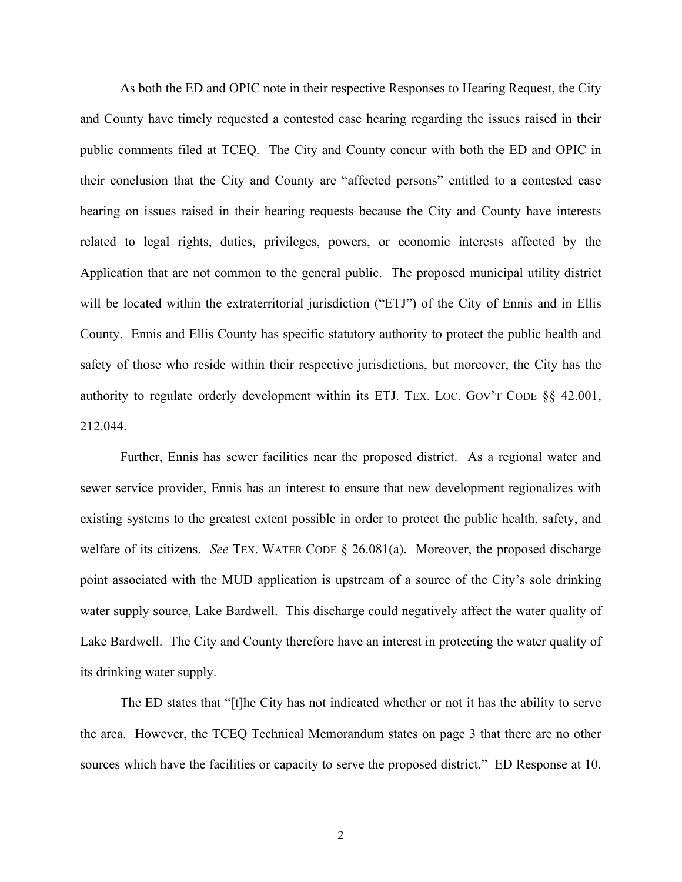As both the ED and OPIC note in their respective Responses to Hearing Request, the City and County have timely requested a contested case hearing regarding the issues raised in their public comments filed at TCEQ. The City and County concur with both the ED and OPIC in their conclusion that the City and County are "affected persons" entitled to a contested case hearing on issues raised in their hearing requests because the City and County have interests related to legal rights, duties, privileges, powers, or economic interests affected by the Application that are not common to the general public. The proposed municipal utility district will be located within the extraterritorial jurisdiction ("ETJ") of the City of Ennis and in Ellis County. Ennis and Ellis County has specific statutory authority to protect the public health and safety of those who reside within their respective jurisdictions, but moreover, the City has the authority to regulate orderly development within its ETJ. TEX. LOC. GOV'T CODE §§ 42.001, 212.044.

Further, Ennis has sewer facilities near the proposed district. As a regional water and sewer service provider, Ennis has an interest to ensure that new development regionalizes with existing systems to the greatest extent possible in order to protect the public health, safety, and welfare of its citizens. *See* TEX. WATER CODE § 26.081(a). Moreover, the proposed discharge point associated with the MUD application is upstream of a source of the City's sole drinking water supply source, Lake Bardwell. This discharge could negatively affect the water quality of Lake Bardwell. The City and County therefore have an interest in protecting the water quality of its drinking water supply.

The ED states that "[t]he City has not indicated whether or not it has the ability to serve the area. However, the TCEQ Technical Memorandum states on page 3 that there are no other sources which have the facilities or capacity to serve the proposed district." ED Response at 10.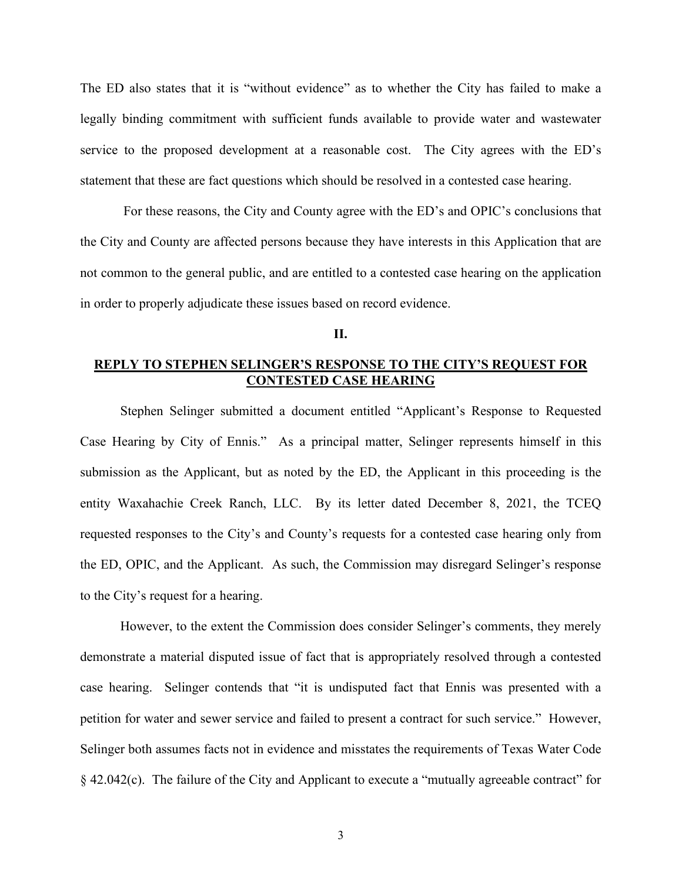The ED also states that it is "without evidence" as to whether the City has failed to make a legally binding commitment with sufficient funds available to provide water and wastewater service to the proposed development at a reasonable cost. The City agrees with the ED's statement that these are fact questions which should be resolved in a contested case hearing.

For these reasons, the City and County agree with the ED's and OPIC's conclusions that the City and County are affected persons because they have interests in this Application that are not common to the general public, and are entitled to a contested case hearing on the application in order to properly adjudicate these issues based on record evidence.

**II.**

## **REPLY TO STEPHEN SELINGER'S RESPONSE TO THE CITY'S REQUEST FOR CONTESTED CASE HEARING**

Stephen Selinger submitted a document entitled "Applicant's Response to Requested Case Hearing by City of Ennis." As a principal matter, Selinger represents himself in this submission as the Applicant, but as noted by the ED, the Applicant in this proceeding is the entity Waxahachie Creek Ranch, LLC. By its letter dated December 8, 2021, the TCEQ requested responses to the City's and County's requests for a contested case hearing only from the ED, OPIC, and the Applicant. As such, the Commission may disregard Selinger's response to the City's request for a hearing.

However, to the extent the Commission does consider Selinger's comments, they merely demonstrate a material disputed issue of fact that is appropriately resolved through a contested case hearing. Selinger contends that "it is undisputed fact that Ennis was presented with a petition for water and sewer service and failed to present a contract for such service." However, Selinger both assumes facts not in evidence and misstates the requirements of Texas Water Code § 42.042(c). The failure of the City and Applicant to execute a "mutually agreeable contract" for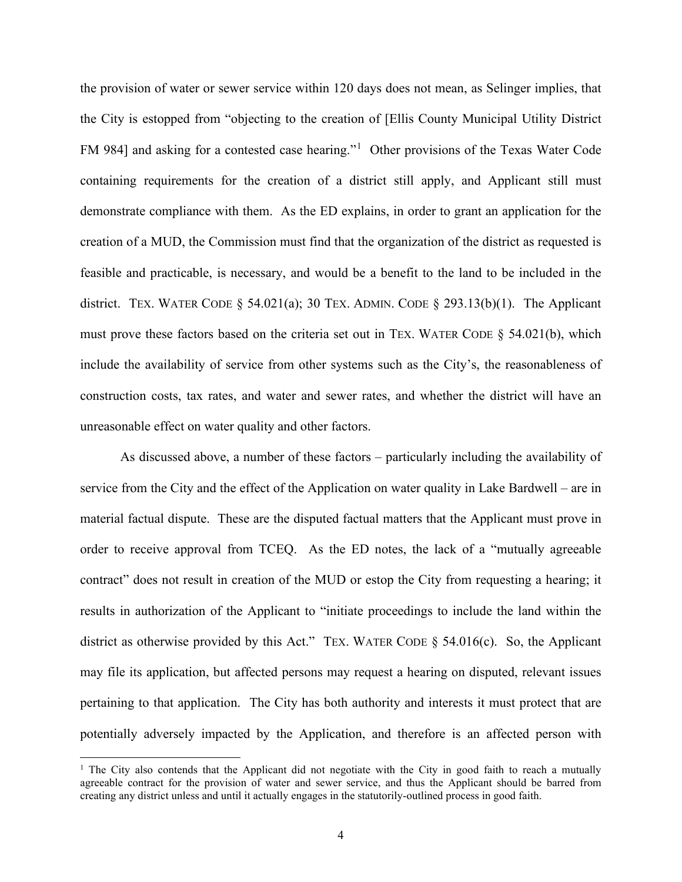the provision of water or sewer service within 120 days does not mean, as Selinger implies, that the City is estopped from "objecting to the creation of [Ellis County Municipal Utility District FM 984] and asking for a contested case hearing."[1](#page-3-0) Other provisions of the Texas Water Code containing requirements for the creation of a district still apply, and Applicant still must demonstrate compliance with them. As the ED explains, in order to grant an application for the creation of a MUD, the Commission must find that the organization of the district as requested is feasible and practicable, is necessary, and would be a benefit to the land to be included in the district. TEX. WATER CODE  $\S$  54.021(a); 30 TEX. ADMIN. CODE  $\S$  293.13(b)(1). The Applicant must prove these factors based on the criteria set out in TEX. WATER CODE § 54.021(b), which include the availability of service from other systems such as the City's, the reasonableness of construction costs, tax rates, and water and sewer rates, and whether the district will have an unreasonable effect on water quality and other factors.

As discussed above, a number of these factors – particularly including the availability of service from the City and the effect of the Application on water quality in Lake Bardwell – are in material factual dispute. These are the disputed factual matters that the Applicant must prove in order to receive approval from TCEQ. As the ED notes, the lack of a "mutually agreeable contract" does not result in creation of the MUD or estop the City from requesting a hearing; it results in authorization of the Applicant to "initiate proceedings to include the land within the district as otherwise provided by this Act." TEX. WATER CODE  $\S$  54.016(c). So, the Applicant may file its application, but affected persons may request a hearing on disputed, relevant issues pertaining to that application. The City has both authority and interests it must protect that are potentially adversely impacted by the Application, and therefore is an affected person with

<span id="page-3-0"></span><sup>&</sup>lt;sup>1</sup> The City also contends that the Applicant did not negotiate with the City in good faith to reach a mutually agreeable contract for the provision of water and sewer service, and thus the Applicant should be barred from creating any district unless and until it actually engages in the statutorily-outlined process in good faith.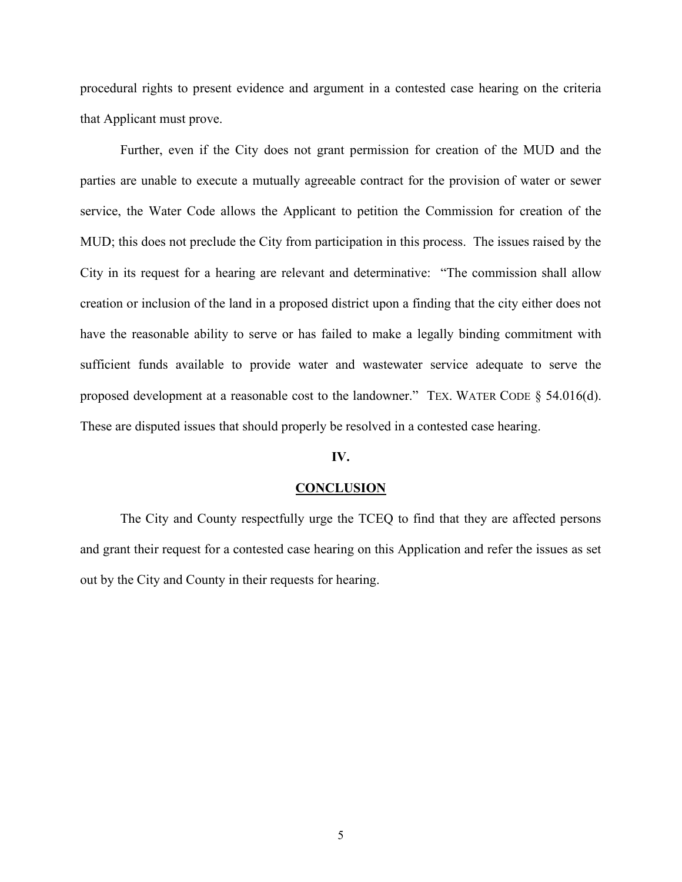procedural rights to present evidence and argument in a contested case hearing on the criteria that Applicant must prove.

Further, even if the City does not grant permission for creation of the MUD and the parties are unable to execute a mutually agreeable contract for the provision of water or sewer service, the Water Code allows the Applicant to petition the Commission for creation of the MUD; this does not preclude the City from participation in this process. The issues raised by the City in its request for a hearing are relevant and determinative: "The commission shall allow creation or inclusion of the land in a proposed district upon a finding that the city either does not have the reasonable ability to serve or has failed to make a legally binding commitment with sufficient funds available to provide water and wastewater service adequate to serve the proposed development at a reasonable cost to the landowner." TEX. WATER CODE § 54.016(d). These are disputed issues that should properly be resolved in a contested case hearing.

#### **IV.**

#### **CONCLUSION**

The City and County respectfully urge the TCEQ to find that they are affected persons and grant their request for a contested case hearing on this Application and refer the issues as set out by the City and County in their requests for hearing.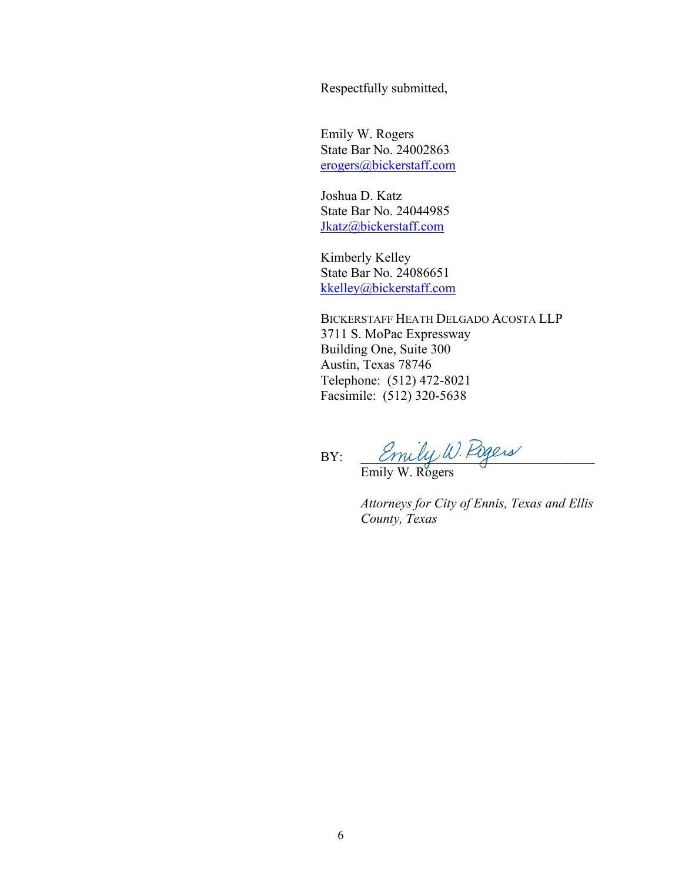Respectfully submitted,

Emily W. Rogers State Bar No. 24002863 [erogers@bickerstaff.com](mailto:erogers@bickerstaff.com)

Joshua D. Katz State Bar No. 24044985 [Jkatz@bickerstaff.com](mailto:Jkatz@bickerstaff.com)

Kimberly Kelley State Bar No. 24086651 kkelley@bickerstaff.com

BICKERSTAFF HEATH DELGADO ACOSTA LLP 3711 S. MoPac Expressway Building One, Suite 300 Austin, Texas 78746 Telephone: (512) 472-8021 Facsimile: (512) 320-5638

 $BY: \qquad \textit{Cmulyw.Fugess}$ 

Emily W. Rogers

*Attorneys for City of Ennis, Texas and Ellis County, Texas*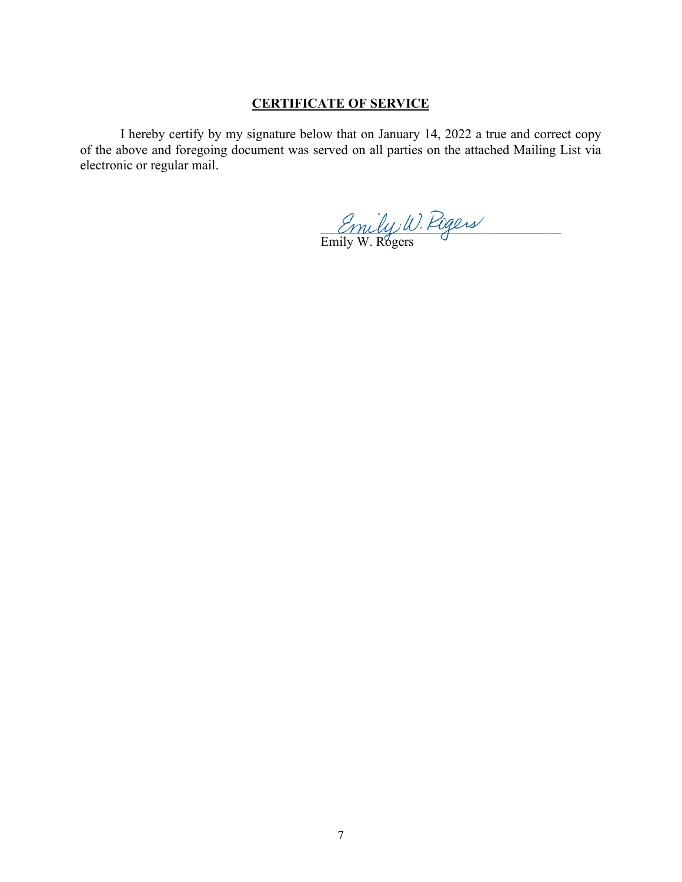## **CERTIFICATE OF SERVICE**

I hereby certify by my signature below that on January 14, 2022 a true and correct copy of the above and foregoing document was served on all parties on the attached Mailing List via electronic or regular mail.

 $m\ell\ell\nu$ . Figers

Emily W. Rogers